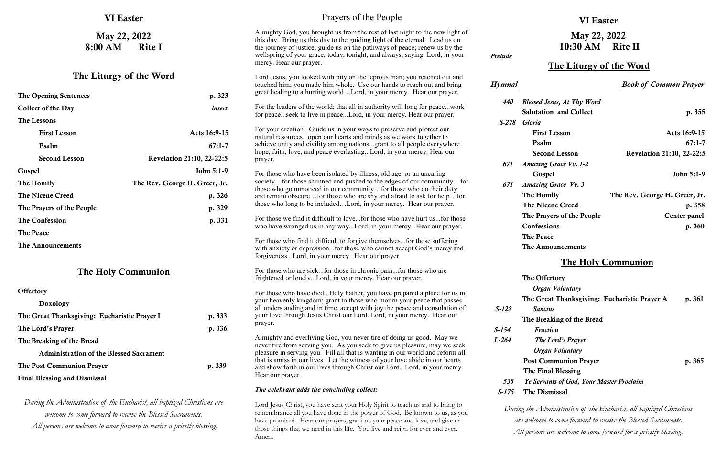| <b>Collect of the Day</b> | insert                           |
|---------------------------|----------------------------------|
| The Lessons               |                                  |
| <b>First Lesson</b>       | Acts 16:9-15                     |
| Psalm                     | $67:1 - 7$                       |
| <b>Second Lesson</b>      | <b>Revelation 21:10, 22-22:5</b> |
| Gospel                    | John 5:1-9                       |
| The Homily                | The Rev. George H. Greer, Jr.    |
| <b>The Nicene Creed</b>   | p. 326                           |
| The Prayers of the People | p. 329                           |
| <b>The Confession</b>     | p. 331                           |
| <b>The Peace</b>          |                                  |
| The Announcements         |                                  |

### The Holy Communion

**Offertory** 

| Doxology                                       |        |
|------------------------------------------------|--------|
| The Great Thanksgiving: Eucharistic Prayer I   | p. 333 |
| The Lord's Prayer                              | p. 336 |
| The Breaking of the Bread                      |        |
| <b>Administration of the Blessed Sacrament</b> |        |
| The Post Communion Prayer                      | p. 339 |
| <b>Final Blessing and Dismissal</b>            |        |

*During the Administration of the Eucharist, all baptized Christians are welcome to come forward to receive the Blessed Sacraments. All persons are welcome to come forward to receive a priestly blessing.*

#### VI Easter

# May 22, 2022 10:30 AM Rite II

### The Liturgy of the Word

*the Administration of the Eucharist, all baptized Christians are welcome to come forward to receive the Blessed Sacraments. All persons are welcome to come forward for a priestly blessing.*

*Hymnal Book of Common Prayer*

| <i><b>440</b></i> | <b>Blessed Jesus, At Thy Word</b> |                                  |
|-------------------|-----------------------------------|----------------------------------|
|                   | <b>Salutation and Collect</b>     | p. 355                           |
| S-278             | Gloria                            |                                  |
|                   | <b>First Lesson</b>               | Acts 16:9-15                     |
|                   | Psalm                             | $67:1 - 7$                       |
|                   | <b>Second Lesson</b>              | <b>Revelation 21:10, 22-22:5</b> |
| 671               | <b>Amazing Grace Vv. 1-2</b>      |                                  |
|                   | Gospel                            | John 5:1-9                       |
| 671               | <b>Amazing Grace Vv. 3</b>        |                                  |
|                   | The Homily                        | The Rev. George H. Greer, Jr.    |
|                   | <b>The Nicene Creed</b>           | p. 358                           |
|                   | The Prayers of the People         | Center panel                     |
|                   | <b>Confessions</b>                | p. 360                           |
|                   | <b>The Peace</b>                  |                                  |
|                   | The Announcements                 |                                  |

| <b>VI Easter</b>                  |        | Prayers of the People                                                                                                                                                                                                                                                                                                                               |                              |
|-----------------------------------|--------|-----------------------------------------------------------------------------------------------------------------------------------------------------------------------------------------------------------------------------------------------------------------------------------------------------------------------------------------------------|------------------------------|
| May 22, 2022<br>8:00 AM<br>Rite I |        | Almighty God, you brought us from the rest of last night to the new light of<br>this day. Bring us this day to the guiding light of the eternal. Lead us on<br>the journey of justice; guide us on the pathways of peace; renew us by the<br>wellspring of your grace; today, tonight, and always, saying, Lord, in your<br>mercy. Hear our prayer. | Prelude                      |
| The Liturgy of the Word           |        | Lord Jesus, you looked with pity on the leprous man; you reached out and<br>touched him; you made him whole. Use our hands to reach out and bring                                                                                                                                                                                                   | <b>Hymnal</b>                |
| <b>The Opening Sentences</b>      | p. 323 | great healing to a hurting worldLord, in your mercy. Hear our prayer.                                                                                                                                                                                                                                                                               | $\overline{B}$<br><i>440</i> |

#### The Holy Communion

|         | Psalm              |
|---------|--------------------|
|         | Second L           |
| 671     | <b>Amazing Gra</b> |
|         | Gospel             |
| 671     | <b>Amazing Gra</b> |
|         | The Homily         |
|         | The Nicene         |
|         | <b>The Prayers</b> |
|         | Confessions        |
|         | <b>The Peace</b>   |
|         | The Announ         |
|         |                    |
|         | The Offertor       |
|         | Organ Vo           |
|         | The Great T        |
| $S-128$ | <b>Sanctus</b>     |
|         | <b>The Breakin</b> |
| $S-154$ | <b>Fraction</b>    |
| $L-264$ | The Lora           |
|         | Organ Vo           |
|         | <b>Post Comm</b>   |
|         | The Final B        |
| 535     | Ye Servants        |
| $S-175$ | The Dismiss        |
|         | During the Adminis |

|         | The Offertory                                   |        |
|---------|-------------------------------------------------|--------|
|         | Organ Voluntary                                 |        |
|         | The Great Thanksgiving: Eucharistic Prayer A    | p. 361 |
| $S-128$ | <b>Sanctus</b>                                  |        |
|         | The Breaking of the Bread                       |        |
| $S-154$ | <b>Fraction</b>                                 |        |
| $L-264$ | The Lord's Prayer                               |        |
|         | Organ Voluntary                                 |        |
|         | <b>Post Communion Prayer</b>                    | p. 365 |
|         | The Final Blessing                              |        |
| 535     | <b>Ye Servants of God, Your Master Proclaim</b> |        |
| S-175   | The Dismissal                                   |        |
|         |                                                 |        |

 *S-278 Gloria* For your creation. Guide us in your ways to preserve and protect our natural resources...open our hearts and minds as we work together to achieve unity and civility among nations...grant to all people everywhere hope, faith, love, and peace everlasting...Lord, in your mercy. Hear our prayer. For those who have been isolated by illness, old age, or an uncaring society…for those shunned and pushed to the edges of our community…for those who go unnoticed in our community…for those who do their duty and remain obscure…for those who are shy and afraid to ask for help…for those who long to be included…Lord, in your mercy. Hear our prayer. For those we find it difficult to love...for those who have hurt us...for those who have wronged us in any way...Lord, in your mercy. Hear our prayer. For those who find it difficult to forgive themselves...for those suffering with anxiety or depression...for those who cannot accept God's mercy and forgiveness...Lord, in your mercy. Hear our prayer. For those who are sick...for those in chronic pain...for those who are frightened or lonely...Lord, in your mercy. Hear our prayer. For those who have died...Holy Father, you have prepared a place for us in your heavenly kingdom; grant to those who mourn your peace that passes

For the leaders of the world; that all in authority will long for peace...work for peace...seek to live in peace...Lord, in your mercy. Hear our prayer.

all understanding and in time, accept with joy the peace and consolation of your love through Jesus Christ our Lord. Lord, in your mercy. Hear our prayer.

Almighty and everliving God, you never tire of doing us good. May we never tire from serving you. As you seek to give us pleasure, may we seek pleasure in serving you. Fill all that is wanting in our world and reform all that is amiss in our lives. Let the witness of your love abide in our hearts and show forth in our lives through Christ our Lord. Lord, in your mercy. Hear our prayer.

#### *The celebrant adds the concluding collect:*

Lord Jesus Christ, you have sent your Holy Spirit to teach us and to bring to remembrance all you have done in the power of God. Be known to us, as you have promised. Hear our prayers, grant us your peace and love, and give us those things that we need in this life. You live and reign for ever and ever. Amen.